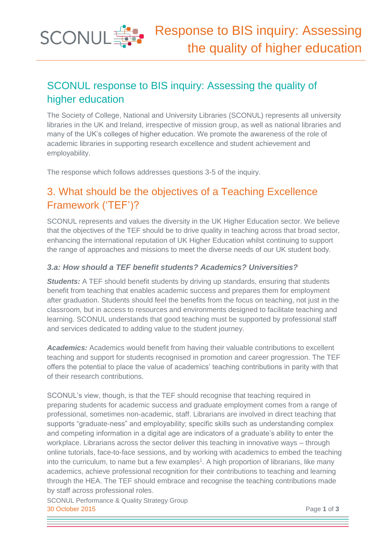

# SCONUL response to BIS inquiry: Assessing the quality of higher education

The Society of College, National and University Libraries (SCONUL) represents all university libraries in the UK and Ireland, irrespective of mission group, as well as national libraries and many of the UK's colleges of higher education. We promote the awareness of the role of academic libraries in supporting research excellence and student achievement and employability.

The response which follows addresses questions 3-5 of the inquiry.

# 3. What should be the objectives of a Teaching Excellence Framework ('TEF')?

SCONUL represents and values the diversity in the UK Higher Education sector. We believe that the objectives of the TEF should be to drive quality in teaching across that broad sector, enhancing the international reputation of UK Higher Education whilst continuing to support the range of approaches and missions to meet the diverse needs of our UK student body.

#### *3.a: How should a TEF benefit students? Academics? Universities?*

**Students:** A TEF should benefit students by driving up standards, ensuring that students benefit from teaching that enables academic success and prepares them for employment after graduation. Students should feel the benefits from the focus on teaching, not just in the classroom, but in access to resources and environments designed to facilitate teaching and learning. SCONUL understands that good teaching must be supported by professional staff and services dedicated to adding value to the student journey.

*Academics:* Academics would benefit from having their valuable contributions to excellent teaching and support for students recognised in promotion and career progression. The TEF offers the potential to place the value of academics' teaching contributions in parity with that of their research contributions.

SCONUL's view, though, is that the TEF should recognise that teaching required in preparing students for academic success and graduate employment comes from a range of professional, sometimes non-academic, staff. Librarians are involved in direct teaching that supports "graduate-ness" and employability; specific skills such as understanding complex and competing information in a digital age are indicators of a graduate's ability to enter the workplace. Librarians across the sector deliver this teaching in innovative ways – through online tutorials, face-to-face sessions, and by working with academics to embed the teaching into the curriculum, to name but a few examples<sup>1</sup>. A high proportion of librarians, like many academics, achieve professional recognition for their contributions to teaching and learning through the HEA. The TEF should embrace and recognise the teaching contributions made by staff across professional roles.

SCONUL Performance & Quality Strategy Group 30 October 2015 Page **1** of **3**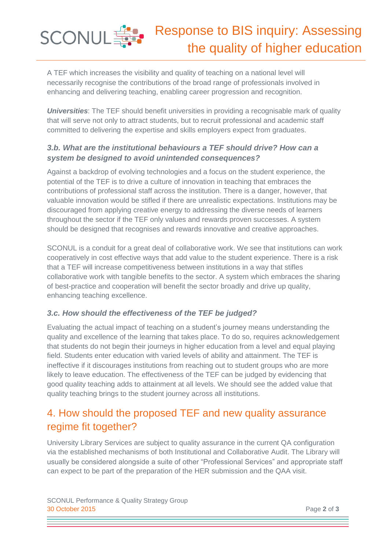A TEF which increases the visibility and quality of teaching on a national level will necessarily recognise the contributions of the broad range of professionals involved in enhancing and delivering teaching, enabling career progression and recognition.

**SCONUL SE** 

**Universities**: The TEF should benefit universities in providing a recognisable mark of quality that will serve not only to attract students, but to recruit professional and academic staff committed to delivering the expertise and skills employers expect from graduates.

### *3.b. What are the institutional behaviours a TEF should drive? How can a system be designed to avoid unintended consequences?*

Against a backdrop of evolving technologies and a focus on the student experience, the potential of the TEF is to drive a culture of innovation in teaching that embraces the contributions of professional staff across the institution. There is a danger, however, that valuable innovation would be stifled if there are unrealistic expectations. Institutions may be discouraged from applying creative energy to addressing the diverse needs of learners throughout the sector if the TEF only values and rewards proven successes. A system should be designed that recognises and rewards innovative and creative approaches.

SCONUL is a conduit for a great deal of collaborative work. We see that institutions can work cooperatively in cost effective ways that add value to the student experience. There is a risk that a TEF will increase competitiveness between institutions in a way that stifles collaborative work with tangible benefits to the sector. A system which embraces the sharing of best-practice and cooperation will benefit the sector broadly and drive up quality, enhancing teaching excellence.

### *3.c. How should the effectiveness of the TEF be judged?*

Evaluating the actual impact of teaching on a student's journey means understanding the quality and excellence of the learning that takes place. To do so, requires acknowledgement that students do not begin their journeys in higher education from a level and equal playing field. Students enter education with varied levels of ability and attainment. The TEF is ineffective if it discourages institutions from reaching out to student groups who are more likely to leave education. The effectiveness of the TEF can be judged by evidencing that good quality teaching adds to attainment at all levels. We should see the added value that quality teaching brings to the student journey across all institutions.

### 4. How should the proposed TEF and new quality assurance regime fit together?

University Library Services are subject to quality assurance in the current QA configuration via the established mechanisms of both Institutional and Collaborative Audit. The Library will usually be considered alongside a suite of other "Professional Services" and appropriate staff can expect to be part of the preparation of the HER submission and the QAA visit.